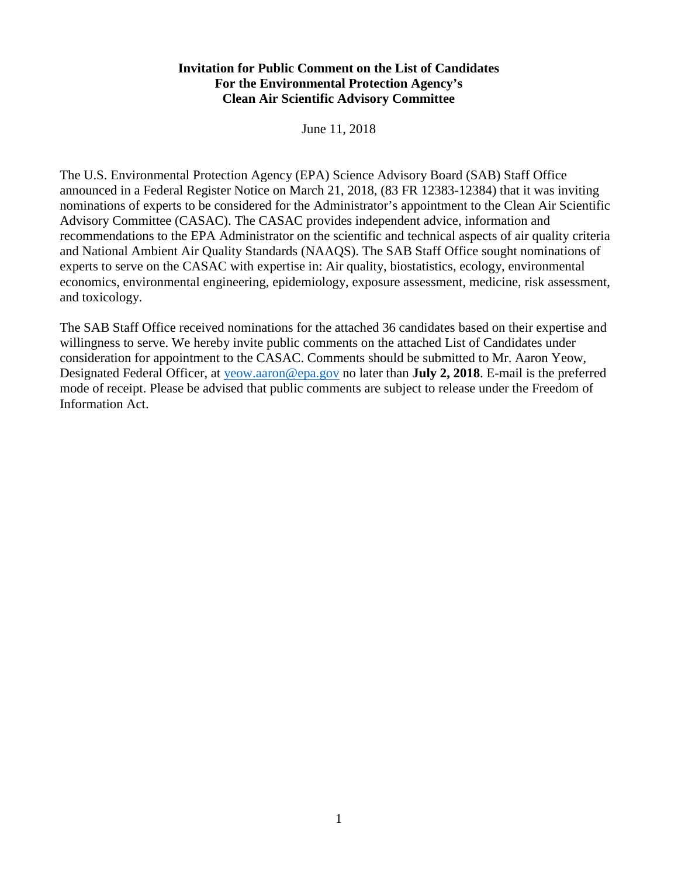# **Invitation for Public Comment on the List of Candidates For the Environmental Protection Agency's Clean Air Scientific Advisory Committee**

June 11, 2018

The U.S. Environmental Protection Agency (EPA) Science Advisory Board (SAB) Staff Office announced in a Federal Register Notice on March 21, 2018, (83 FR 12383-12384) that it was inviting nominations of experts to be considered for the Administrator's appointment to the Clean Air Scientific Advisory Committee (CASAC). The CASAC provides independent advice, information and recommendations to the EPA Administrator on the scientific and technical aspects of air quality criteria and National Ambient Air Quality Standards (NAAQS). The SAB Staff Office sought nominations of experts to serve on the CASAC with expertise in: Air quality, biostatistics, ecology, environmental economics, environmental engineering, epidemiology, exposure assessment, medicine, risk assessment, and toxicology.

The SAB Staff Office received nominations for the attached 36 candidates based on their expertise and willingness to serve. We hereby invite public comments on the attached List of Candidates under consideration for appointment to the CASAC. Comments should be submitted to Mr. Aaron Yeow, Designated Federal Officer, at [yeow.aaron@epa.gov](mailto:yeow.aaron@epa.gov) no later than **July 2, 2018**. E-mail is the preferred mode of receipt. Please be advised that public comments are subject to release under the Freedom of Information Act.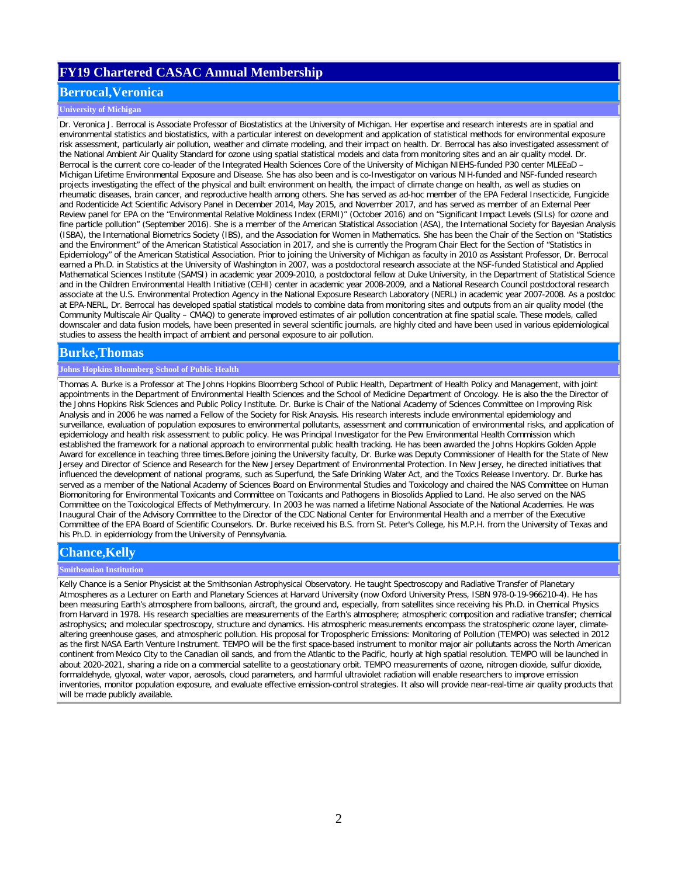# **FY19 Chartered CASAC Annual Membership**

## **Berrocal,Veronica**

### **University of Michigan**

Dr. Veronica J. Berrocal is Associate Professor of Biostatistics at the University of Michigan. Her expertise and research interests are in spatial and environmental statistics and biostatistics, with a particular interest on development and application of statistical methods for environmental exposure risk assessment, particularly air pollution, weather and climate modeling, and their impact on health. Dr. Berrocal has also investigated assessment of the National Ambient Air Quality Standard for ozone using spatial statistical models and data from monitoring sites and an air quality model. Dr. Berrocal is the current core co-leader of the Integrated Health Sciences Core of the University of Michigan NIEHS-funded P30 center MLEEaD – Michigan Lifetime Environmental Exposure and Disease. She has also been and is co-Investigator on various NIH-funded and NSF-funded research projects investigating the effect of the physical and built environment on health, the impact of climate change on health, as well as studies on rheumatic diseases, brain cancer, and reproductive health among others. She has served as ad-hoc member of the EPA Federal Insecticide, Fungicide and Rodenticide Act Scientific Advisory Panel in December 2014, May 2015, and November 2017, and has served as member of an External Peer Review panel for EPA on the "Environmental Relative Moldiness Index (ERMI)" (October 2016) and on "Significant Impact Levels (SILs) for ozone and fine particle pollution" (September 2016). She is a member of the American Statistical Association (ASA), the International Society for Bayesian Analysis (ISBA), the International Biometrics Society (IBS), and the Association for Women in Mathematics. She has been the Chair of the Section on "Statistics and the Environment" of the American Statistical Association in 2017, and she is currently the Program Chair Elect for the Section of "Statistics in Epidemiology" of the American Statistical Association. Prior to joining the University of Michigan as faculty in 2010 as Assistant Professor, Dr. Berrocal earned a Ph.D. in Statistics at the University of Washington in 2007, was a postdoctoral research associate at the NSF-funded Statistical and Applied Mathematical Sciences Institute (SAMSI) in academic year 2009-2010, a postdoctoral fellow at Duke University, in the Department of Statistical Science and in the Children Environmental Health Initiative (CEHI) center in academic year 2008-2009, and a National Research Council postdoctoral research associate at the U.S. Environmental Protection Agency in the National Exposure Research Laboratory (NERL) in academic year 2007-2008. As a postdoc at EPA-NERL, Dr. Berrocal has developed spatial statistical models to combine data from monitoring sites and outputs from an air quality model (the Community Multiscale Air Quality – CMAQ) to generate improved estimates of air pollution concentration at fine spatial scale. These models, called downscaler and data fusion models, have been presented in several scientific journals, are highly cited and have been used in various epidemiological studies to assess the health impact of ambient and personal exposure to air pollution.

## **Burke,Thomas**

### **Johns Hopkins Bloomberg School of Public Health**

Thomas A. Burke is a Professor at The Johns Hopkins Bloomberg School of Public Health, Department of Health Policy and Management, with joint appointments in the Department of Environmental Health Sciences and the School of Medicine Department of Oncology. He is also the the Director of the Johns Hopkins Risk Sciences and Public Policy Institute. Dr. Burke is Chair of the National Academy of Sciences Committee on Improving Risk Analysis and in 2006 he was named a Fellow of the Society for Risk Anaysis. His research interests include environmental epidemiology and surveillance, evaluation of population exposures to environmental pollutants, assessment and communication of environmental risks, and application of epidemiology and health risk assessment to public policy. He was Principal Investigator for the Pew Environmental Health Commission which established the framework for a national approach to environmental public health tracking. He has been awarded the Johns Hopkins Golden Apple Award for excellence in teaching three times.Before joining the University faculty, Dr. Burke was Deputy Commissioner of Health for the State of New Jersey and Director of Science and Research for the New Jersey Department of Environmental Protection. In New Jersey, he directed initiatives that influenced the development of national programs, such as Superfund, the Safe Drinking Water Act, and the Toxics Release Inventory. Dr. Burke has served as a member of the National Academy of Sciences Board on Environmental Studies and Toxicology and chaired the NAS Committee on Human Biomonitoring for Environmental Toxicants and Committee on Toxicants and Pathogens in Biosolids Applied to Land. He also served on the NAS Committee on the Toxicological Effects of Methylmercury. In 2003 he was named a lifetime National Associate of the National Academies. He was Inaugural Chair of the Advisory Committee to the Director of the CDC National Center for Environmental Health and a member of the Executive Committee of the EPA Board of Scientific Counselors. Dr. Burke received his B.S. from St. Peter's College, his M.P.H. from the University of Texas and his Ph.D. in epidemiology from the University of Pennsylvania.

## **Chance,Kelly**

#### **Smithsonian Institution**

Kelly Chance is a Senior Physicist at the Smithsonian Astrophysical Observatory. He taught Spectroscopy and Radiative Transfer of Planetary Atmospheres as a Lecturer on Earth and Planetary Sciences at Harvard University (now Oxford University Press, ISBN 978-0-19-966210-4). He has been measuring Earth's atmosphere from balloons, aircraft, the ground and, especially, from satellites since receiving his Ph.D. in Chemical Physics from Harvard in 1978. His research specialties are measurements of the Earth's atmosphere; atmospheric composition and radiative transfer; chemical astrophysics; and molecular spectroscopy, structure and dynamics. His atmospheric measurements encompass the stratospheric ozone layer, climatealtering greenhouse gases, and atmospheric pollution. His proposal for Tropospheric Emissions: Monitoring of Pollution (TEMPO) was selected in 2012 as the first NASA Earth Venture Instrument. TEMPO will be the first space-based instrument to monitor major air pollutants across the North American continent from Mexico City to the Canadian oil sands, and from the Atlantic to the Pacific, hourly at high spatial resolution. TEMPO will be launched in about 2020-2021, sharing a ride on a commercial satellite to a geostationary orbit. TEMPO measurements of ozone, nitrogen dioxide, sulfur dioxide, formaldehyde, glyoxal, water vapor, aerosols, cloud parameters, and harmful ultraviolet radiation will enable researchers to improve emission inventories, monitor population exposure, and evaluate effective emission-control strategies. It also will provide near-real-time air quality products that will be made publicly available.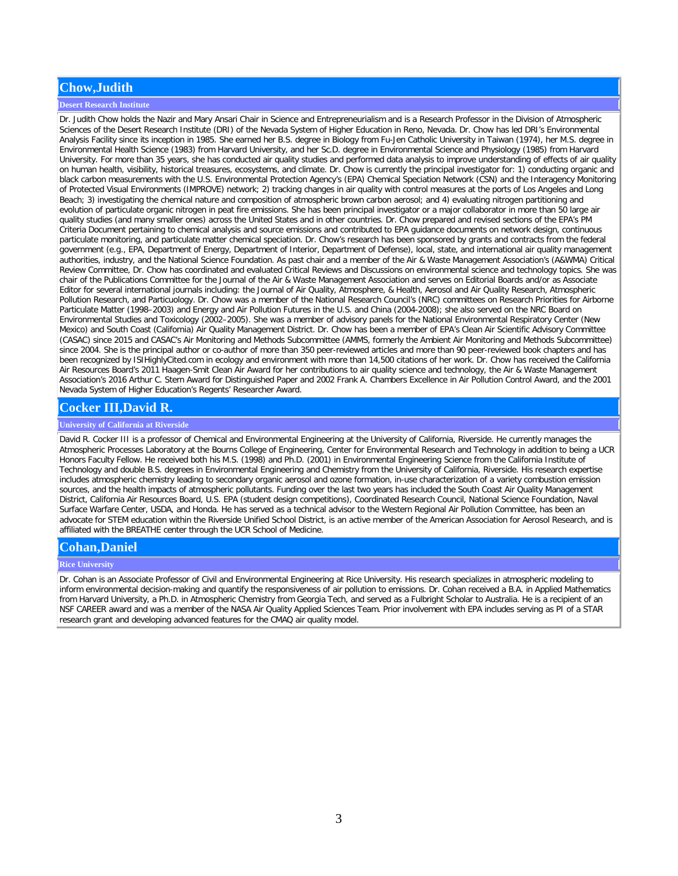# **Chow,Judith**

### **Desert Research Institute**

Dr. Judith Chow holds the Nazir and Mary Ansari Chair in Science and Entrepreneurialism and is a Research Professor in the Division of Atmospheric Sciences of the Desert Research Institute (DRI) of the Nevada System of Higher Education in Reno, Nevada. Dr. Chow has led DRI's Environmental Analysis Facility since its inception in 1985. She earned her B.S. degree in Biology from Fu-Jen Catholic University in Taiwan (1974), her M.S. degree in Environmental Health Science (1983) from Harvard University, and her Sc.D. degree in Environmental Science and Physiology (1985) from Harvard University. For more than 35 years, she has conducted air quality studies and performed data analysis to improve understanding of effects of air quality on human health, visibility, historical treasures, ecosystems, and climate. Dr. Chow is currently the principal investigator for: 1) conducting organic and black carbon measurements with the U.S. Environmental Protection Agency's (EPA) Chemical Speciation Network (CSN) and the Interagency Monitoring of Protected Visual Environments (IMPROVE) network; 2) tracking changes in air quality with control measures at the ports of Los Angeles and Long Beach; 3) investigating the chemical nature and composition of atmospheric brown carbon aerosol; and 4) evaluating nitrogen partitioning and evolution of particulate organic nitrogen in peat fire emissions. She has been principal investigator or a major collaborator in more than 50 large air quality studies (and many smaller ones) across the United States and in other countries. Dr. Chow prepared and revised sections of the EPA's PM Criteria Document pertaining to chemical analysis and source emissions and contributed to EPA guidance documents on network design, continuous particulate monitoring, and particulate matter chemical speciation. Dr. Chow's research has been sponsored by grants and contracts from the federal government (e.g., EPA, Department of Energy, Department of Interior, Department of Defense), local, state, and international air quality management authorities, industry, and the National Science Foundation. As past chair and a member of the Air & Waste Management Association's (A&WMA) Critical Review Committee, Dr. Chow has coordinated and evaluated Critical Reviews and Discussions on environmental science and technology topics. She was chair of the Publications Committee for the Journal of the Air & Waste Management Association and serves on Editorial Boards and/or as Associate Editor for several international journals including: the Journal of Air Quality, Atmosphere, & Health, Aerosol and Air Quality Research, Atmospheric Pollution Research, and Particuology. Dr. Chow was a member of the National Research Council's (NRC) committees on Research Priorities for Airborne Particulate Matter (1998–2003) and Energy and Air Pollution Futures in the U.S. and China (2004-2008); she also served on the NRC Board on Environmental Studies and Toxicology (2002–2005). She was a member of advisory panels for the National Environmental Respiratory Center (New Mexico) and South Coast (California) Air Quality Management District. Dr. Chow has been a member of EPA's Clean Air Scientific Advisory Committee (CASAC) since 2015 and CASAC's Air Monitoring and Methods Subcommittee (AMMS, formerly the Ambient Air Monitoring and Methods Subcommittee) since 2004. She is the principal author or co-author of more than 350 peer-reviewed articles and more than 90 peer-reviewed book chapters and has been recognized by ISIHighlyCited.com in ecology and environment with more than 14,500 citations of her work. Dr. Chow has received the California Air Resources Board's 2011 Haagen-Smit Clean Air Award for her contributions to air quality science and technology, the Air & Waste Management Association's 2016 Arthur C. Stern Award for Distinguished Paper and 2002 Frank A. Chambers Excellence in Air Pollution Control Award, and the 2001 Nevada System of Higher Education's Regents' Researcher Award.

## **Cocker III,David R.**

### **University of California at Riverside**

David R. Cocker III is a professor of Chemical and Environmental Engineering at the University of California, Riverside. He currently manages the Atmospheric Processes Laboratory at the Bourns College of Engineering, Center for Environmental Research and Technology in addition to being a UCR Honors Faculty Fellow. He received both his M.S. (1998) and Ph.D. (2001) in Environmental Engineering Science from the California Institute of Technology and double B.S. degrees in Environmental Engineering and Chemistry from the University of California, Riverside. His research expertise includes atmospheric chemistry leading to secondary organic aerosol and ozone formation, in-use characterization of a variety combustion emission sources, and the health impacts of atmospheric pollutants. Funding over the last two years has included the South Coast Air Quality Management District, California Air Resources Board, U.S. EPA (student design competitions), Coordinated Research Council, National Science Foundation, Naval Surface Warfare Center, USDA, and Honda. He has served as a technical advisor to the Western Regional Air Pollution Committee, has been an advocate for STEM education within the Riverside Unified School District, is an active member of the American Association for Aerosol Research, and is affiliated with the BREATHE center through the UCR School of Medicine.

## **Cohan,Daniel**

#### **Rice University**

Dr. Cohan is an Associate Professor of Civil and Environmental Engineering at Rice University. His research specializes in atmospheric modeling to inform environmental decision-making and quantify the responsiveness of air pollution to emissions. Dr. Cohan received a B.A. in Applied Mathematics from Harvard University, a Ph.D. in Atmospheric Chemistry from Georgia Tech, and served as a Fulbright Scholar to Australia. He is a recipient of an NSF CAREER award and was a member of the NASA Air Quality Applied Sciences Team. Prior involvement with EPA includes serving as PI of a STAR research grant and developing advanced features for the CMAQ air quality model.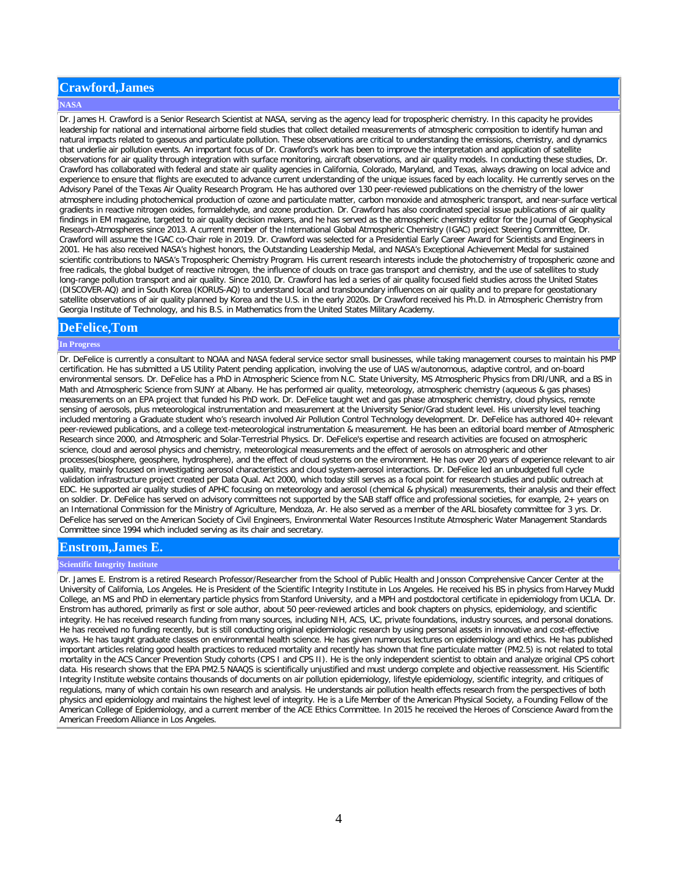# **Crawford,James**

### **NASA**

Dr. James H. Crawford is a Senior Research Scientist at NASA, serving as the agency lead for tropospheric chemistry. In this capacity he provides leadership for national and international airborne field studies that collect detailed measurements of atmospheric composition to identify human and natural impacts related to gaseous and particulate pollution. These observations are critical to understanding the emissions, chemistry, and dynamics that underlie air pollution events. An important focus of Dr. Crawford's work has been to improve the interpretation and application of satellite observations for air quality through integration with surface monitoring, aircraft observations, and air quality models. In conducting these studies, Dr. Crawford has collaborated with federal and state air quality agencies in California, Colorado, Maryland, and Texas, always drawing on local advice and experience to ensure that flights are executed to advance current understanding of the unique issues faced by each locality. He currently serves on the Advisory Panel of the Texas Air Quality Research Program. He has authored over 130 peer-reviewed publications on the chemistry of the lower atmosphere including photochemical production of ozone and particulate matter, carbon monoxide and atmospheric transport, and near-surface vertical gradients in reactive nitrogen oxides, formaldehyde, and ozone production. Dr. Crawford has also coordinated special issue publications of air quality findings in EM magazine, targeted to air quality decision makers, and he has served as the atmospheric chemistry editor for the Journal of Geophysical Research-Atmospheres since 2013. A current member of the International Global Atmospheric Chemistry (IGAC) project Steering Committee, Dr. Crawford will assume the IGAC co-Chair role in 2019. Dr. Crawford was selected for a Presidential Early Career Award for Scientists and Engineers in 2001. He has also received NASA's highest honors, the Outstanding Leadership Medal, and NASA's Exceptional Achievement Medal for sustained scientific contributions to NASA's Tropospheric Chemistry Program. His current research interests include the photochemistry of tropospheric ozone and free radicals, the global budget of reactive nitrogen, the influence of clouds on trace gas transport and chemistry, and the use of satellites to study long-range pollution transport and air quality. Since 2010, Dr. Crawford has led a series of air quality focused field studies across the United States (DISCOVER-AQ) and in South Korea (KORUS-AQ) to understand local and transboundary influences on air quality and to prepare for geostationary satellite observations of air quality planned by Korea and the U.S. in the early 2020s. Dr Crawford received his Ph.D. in Atmospheric Chemistry from Georgia Institute of Technology, and his B.S. in Mathematics from the United States Military Academy.

### **DeFelice,Tom**

### **In Progress**

Dr. DeFelice is currently a consultant to NOAA and NASA federal service sector small businesses, while taking management courses to maintain his PMP certification. He has submitted a US Utility Patent pending application, involving the use of UAS w/autonomous, adaptive control, and on-board environmental sensors. Dr. DeFelice has a PhD in Atmospheric Science from N.C. State University, MS Atmospheric Physics from DRI/UNR, and a BS in Math and Atmospheric Science from SUNY at Albany. He has performed air quality, meteorology, atmospheric chemistry (aqueous & gas phases) measurements on an EPA project that funded his PhD work. Dr. DeFelice taught wet and gas phase atmospheric chemistry, cloud physics, remote sensing of aerosols, plus meteorological instrumentation and measurement at the University Senior/Grad student level. His university level teaching included mentoring a Graduate student who's research involved Air Pollution Control Technology development. Dr. DeFelice has authored 40+ relevant peer-reviewed publications, and a college text-meteorological instrumentation & measurement. He has been an editorial board member of Atmospheric Research since 2000, and Atmospheric and Solar-Terrestrial Physics. Dr. DeFelice's expertise and research activities are focused on atmospheric science, cloud and aerosol physics and chemistry, meteorological measurements and the effect of aerosols on atmospheric and other processes(biosphere, geosphere, hydrosphere), and the effect of cloud systems on the environment. He has over 20 years of experience relevant to air quality, mainly focused on investigating aerosol characteristics and cloud system-aerosol interactions. Dr. DeFelice led an unbudgeted full cycle validation infrastructure project created per Data Qual. Act 2000, which today still serves as a focal point for research studies and public outreach at EDC. He supported air quality studies of APHC focusing on meteorology and aerosol (chemical & physical) measurements, their analysis and their effect on soldier. Dr. DeFelice has served on advisory committees not supported by the SAB staff office and professional societies, for example, 2+ years on an International Commission for the Ministry of Agriculture, Mendoza, Ar. He also served as a member of the ARL biosafety committee for 3 yrs. Dr. DeFelice has served on the American Society of Civil Engineers, Environmental Water Resources Institute Atmospheric Water Management Standards Committee since 1994 which included serving as its chair and secretary.

## **Enstrom,James E.**

#### **Scientific Integrity Institute**

Dr. James E. Enstrom is a retired Research Professor/Researcher from the School of Public Health and Jonsson Comprehensive Cancer Center at the University of California, Los Angeles. He is President of the Scientific Integrity Institute in Los Angeles. He received his BS in physics from Harvey Mudd College, an MS and PhD in elementary particle physics from Stanford University, and a MPH and postdoctoral certificate in epidemiology from UCLA. Dr. Enstrom has authored, primarily as first or sole author, about 50 peer-reviewed articles and book chapters on physics, epidemiology, and scientific integrity. He has received research funding from many sources, including NIH, ACS, UC, private foundations, industry sources, and personal donations. He has received no funding recently, but is still conducting original epidemiologic research by using personal assets in innovative and cost-effective ways. He has taught graduate classes on environmental health science. He has given numerous lectures on epidemiology and ethics. He has published important articles relating good health practices to reduced mortality and recently has shown that fine particulate matter (PM2.5) is not related to total mortality in the ACS Cancer Prevention Study cohorts (CPS I and CPS II). He is the only independent scientist to obtain and analyze original CPS cohort data. His research shows that the EPA PM2.5 NAAQS is scientifically unjustified and must undergo complete and objective reassessment. His Scientific Integrity Institute website contains thousands of documents on air pollution epidemiology, lifestyle epidemiology, scientific integrity, and critiques of regulations, many of which contain his own research and analysis. He understands air pollution health effects research from the perspectives of both physics and epidemiology and maintains the highest level of integrity. He is a Life Member of the American Physical Society, a Founding Fellow of the American College of Epidemiology, and a current member of the ACE Ethics Committee. In 2015 he received the Heroes of Conscience Award from the American Freedom Alliance in Los Angeles.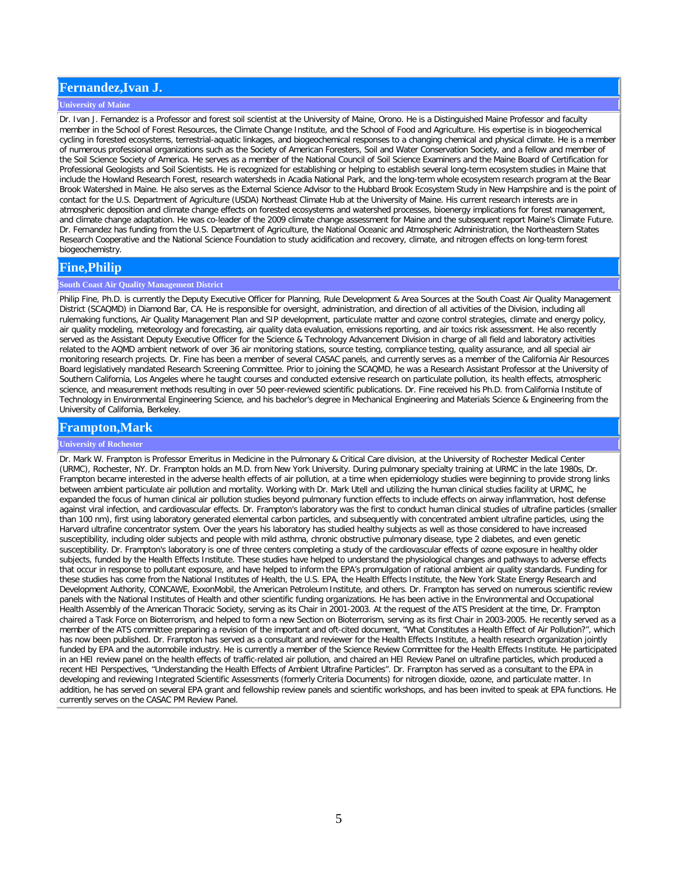## **Fernandez,Ivan J.**

### **University of Maine**

Dr. Ivan J. Fernandez is a Professor and forest soil scientist at the University of Maine, Orono. He is a Distinguished Maine Professor and faculty member in the School of Forest Resources, the Climate Change Institute, and the School of Food and Agriculture. His expertise is in biogeochemical cycling in forested ecosystems, terrestrial-aquatic linkages, and biogeochemical responses to a changing chemical and physical climate. He is a member of numerous professional organizations such as the Society of American Foresters, Soil and Water Conservation Society, and a fellow and member of the Soil Science Society of America. He serves as a member of the National Council of Soil Science Examiners and the Maine Board of Certification for Professional Geologists and Soil Scientists. He is recognized for establishing or helping to establish several long-term ecosystem studies in Maine that include the Howland Research Forest, research watersheds in Acadia National Park, and the long-term whole ecosystem research program at the Bear Brook Watershed in Maine. He also serves as the External Science Advisor to the Hubbard Brook Ecosystem Study in New Hampshire and is the point of contact for the U.S. Department of Agriculture (USDA) Northeast Climate Hub at the University of Maine. His current research interests are in atmospheric deposition and climate change effects on forested ecosystems and watershed processes, bioenergy implications for forest management, and climate change adaptation. He was co-leader of the 2009 climate change assessment for Maine and the subsequent report Maine's Climate Future. Dr. Fernandez has funding from the U.S. Department of Agriculture, the National Oceanic and Atmospheric Administration, the Northeastern States Research Cooperative and the National Science Foundation to study acidification and recovery, climate, and nitrogen effects on long-term forest biogeochemistry.

## **Fine,Philip**

### **South Coast Air Quality Management District**

Philip Fine, Ph.D. is currently the Deputy Executive Officer for Planning, Rule Development & Area Sources at the South Coast Air Quality Management District (SCAQMD) in Diamond Bar, CA. He is responsible for oversight, administration, and direction of all activities of the Division, including all rulemaking functions, Air Quality Management Plan and SIP development, particulate matter and ozone control strategies, climate and energy policy, air quality modeling, meteorology and forecasting, air quality data evaluation, emissions reporting, and air toxics risk assessment. He also recently served as the Assistant Deputy Executive Officer for the Science & Technology Advancement Division in charge of all field and laboratory activities related to the AQMD ambient network of over 36 air monitoring stations, source testing, compliance testing, quality assurance, and all special air monitoring research projects. Dr. Fine has been a member of several CASAC panels, and currently serves as a member of the California Air Resources Board legislatively mandated Research Screening Committee. Prior to joining the SCAQMD, he was a Research Assistant Professor at the University of Southern California, Los Angeles where he taught courses and conducted extensive research on particulate pollution, its health effects, atmospheric science, and measurement methods resulting in over 50 peer-reviewed scientific publications. Dr. Fine received his Ph.D. from California Institute of Technology in Environmental Engineering Science, and his bachelor's degree in Mechanical Engineering and Materials Science & Engineering from the University of California, Berkeley.

## **Frampton,Mark**

### **University of Rochester**

Dr. Mark W. Frampton is Professor Emeritus in Medicine in the Pulmonary & Critical Care division, at the University of Rochester Medical Center (URMC), Rochester, NY. Dr. Frampton holds an M.D. from New York University. During pulmonary specialty training at URMC in the late 1980s, Dr. Frampton became interested in the adverse health effects of air pollution, at a time when epidemiology studies were beginning to provide strong links between ambient particulate air pollution and mortality. Working with Dr. Mark Utell and utilizing the human clinical studies facility at URMC, he expanded the focus of human clinical air pollution studies beyond pulmonary function effects to include effects on airway inflammation, host defense against viral infection, and cardiovascular effects. Dr. Frampton's laboratory was the first to conduct human clinical studies of ultrafine particles (smaller than 100 nm), first using laboratory generated elemental carbon particles, and subsequently with concentrated ambient ultrafine particles, using the Harvard ultrafine concentrator system. Over the years his laboratory has studied healthy subjects as well as those considered to have increased susceptibility, including older subjects and people with mild asthma, chronic obstructive pulmonary disease, type 2 diabetes, and even genetic susceptibility. Dr. Frampton's laboratory is one of three centers completing a study of the cardiovascular effects of ozone exposure in healthy older subjects, funded by the Health Effects Institute. These studies have helped to understand the physiological changes and pathways to adverse effects that occur in response to pollutant exposure, and have helped to inform the EPA's promulgation of rational ambient air quality standards. Funding for these studies has come from the National Institutes of Health, the U.S. EPA, the Health Effects Institute, the New York State Energy Research and Development Authority, CONCAWE, ExxonMobil, the American Petroleum Institute, and others. Dr. Frampton has served on numerous scientific review panels with the National Institutes of Health and other scientific funding organizations. He has been active in the Environmental and Occupational Health Assembly of the American Thoracic Society, serving as its Chair in 2001-2003. At the request of the ATS President at the time, Dr. Frampton chaired a Task Force on Bioterrorism, and helped to form a new Section on Bioterrorism, serving as its first Chair in 2003-2005. He recently served as a member of the ATS committee preparing a revision of the important and oft-cited document, "What Constitutes a Health Effect of Air Pollution?", which has now been published. Dr. Frampton has served as a consultant and reviewer for the Health Effects Institute, a health research organization jointly funded by EPA and the automobile industry. He is currently a member of the Science Review Committee for the Health Effects Institute. He participated in an HEI review panel on the health effects of traffic-related air pollution, and chaired an HEI Review Panel on ultrafine particles, which produced a recent HEI Perspectives, "Understanding the Health Effects of Ambient Ultrafine Particles". Dr. Frampton has served as a consultant to the EPA in developing and reviewing Integrated Scientific Assessments (formerly Criteria Documents) for nitrogen dioxide, ozone, and particulate matter. In addition, he has served on several EPA grant and fellowship review panels and scientific workshops, and has been invited to speak at EPA functions. He currently serves on the CASAC PM Review Panel.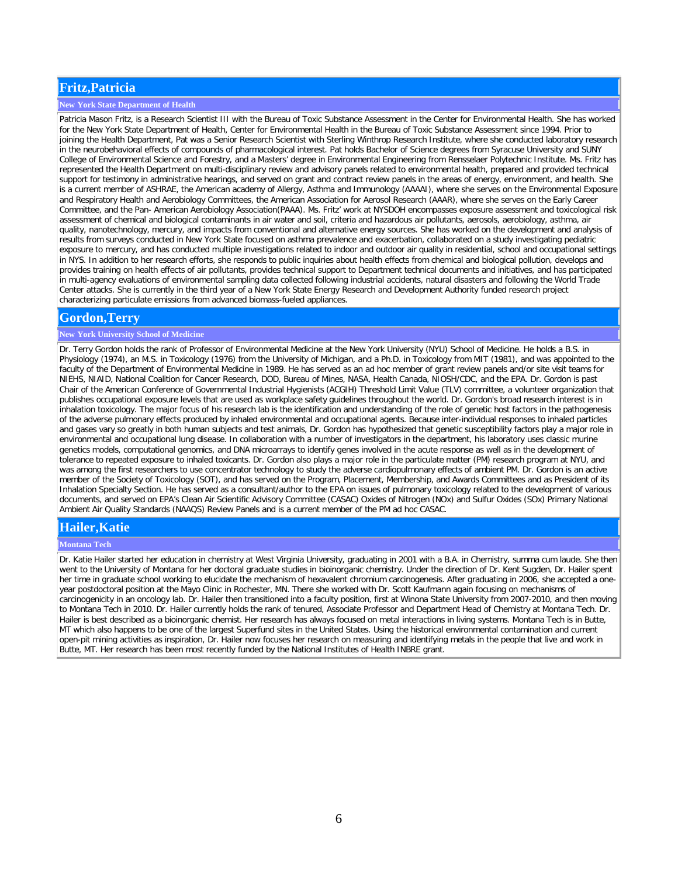## **Fritz,Patricia**

### **New York State Department of Health**

Patricia Mason Fritz, is a Research Scientist III with the Bureau of Toxic Substance Assessment in the Center for Environmental Health. She has worked for the New York State Department of Health, Center for Environmental Health in the Bureau of Toxic Substance Assessment since 1994. Prior to joining the Health Department, Pat was a Senior Research Scientist with Sterling Winthrop Research Institute, where she conducted laboratory research in the neurobehavioral effects of compounds of pharmacological interest. Pat holds Bachelor of Science degrees from Syracuse University and SUNY College of Environmental Science and Forestry, and a Masters' degree in Environmental Engineering from Rensselaer Polytechnic Institute. Ms. Fritz has represented the Health Department on multi-disciplinary review and advisory panels related to environmental health, prepared and provided technical support for testimony in administrative hearings, and served on grant and contract review panels in the areas of energy, environment, and health. She is a current member of ASHRAE, the American academy of Allergy, Asthma and Immunology (AAAAI), where she serves on the Environmental Exposure and Respiratory Health and Aerobiology Committees, the American Association for Aerosol Research (AAAR), where she serves on the Early Career Committee, and the Pan- American Aerobiology Association(PAAA). Ms. Fritz' work at NYSDOH encompasses exposure assessment and toxicological risk assessment of chemical and biological contaminants in air water and soil, criteria and hazardous air pollutants, aerosols, aerobiology, asthma, air quality, nanotechnology, mercury, and impacts from conventional and alternative energy sources. She has worked on the development and analysis of results from surveys conducted in New York State focused on asthma prevalence and exacerbation, collaborated on a study investigating pediatric exposure to mercury, and has conducted multiple investigations related to indoor and outdoor air quality in residential, school and occupational settings in NYS. In addition to her research efforts, she responds to public inquiries about health effects from chemical and biological pollution, develops and provides training on health effects of air pollutants, provides technical support to Department technical documents and initiatives, and has participated in multi-agency evaluations of environmental sampling data collected following industrial accidents, natural disasters and following the World Trade Center attacks. She is currently in the third year of a New York State Energy Research and Development Authority funded research project characterizing particulate emissions from advanced biomass-fueled appliances.

## **Gordon,Terry**

## **New York University School of Medicine**

Dr. Terry Gordon holds the rank of Professor of Environmental Medicine at the New York University (NYU) School of Medicine. He holds a B.S. in Physiology (1974), an M.S. in Toxicology (1976) from the University of Michigan, and a Ph.D. in Toxicology from MIT (1981), and was appointed to the faculty of the Department of Environmental Medicine in 1989. He has served as an ad hoc member of grant review panels and/or site visit teams for NIEHS, NIAID, National Coalition for Cancer Research, DOD, Bureau of Mines, NASA, Health Canada, NIOSH/CDC, and the EPA. Dr. Gordon is past Chair of the American Conference of Governmental Industrial Hygienists (ACGIH) Threshold Limit Value (TLV) committee, a volunteer organization that publishes occupational exposure levels that are used as workplace safety guidelines throughout the world. Dr. Gordon's broad research interest is in inhalation toxicology. The major focus of his research lab is the identification and understanding of the role of genetic host factors in the pathogenesis of the adverse pulmonary effects produced by inhaled environmental and occupational agents. Because inter-individual responses to inhaled particles and gases vary so greatly in both human subjects and test animals, Dr. Gordon has hypothesized that genetic susceptibility factors play a major role in environmental and occupational lung disease. In collaboration with a number of investigators in the department, his laboratory uses classic murine genetics models, computational genomics, and DNA microarrays to identify genes involved in the acute response as well as in the development of tolerance to repeated exposure to inhaled toxicants. Dr. Gordon also plays a major role in the particulate matter (PM) research program at NYU, and was among the first researchers to use concentrator technology to study the adverse cardiopulmonary effects of ambient PM. Dr. Gordon is an active member of the Society of Toxicology (SOT), and has served on the Program, Placement, Membership, and Awards Committees and as President of its Inhalation Specialty Section. He has served as a consultant/author to the EPA on issues of pulmonary toxicology related to the development of various documents, and served on EPA's Clean Air Scientific Advisory Committee (CASAC) Oxides of Nitrogen (NOx) and Sulfur Oxides (SOx) Primary National Ambient Air Quality Standards (NAAQS) Review Panels and is a current member of the PM ad hoc CASAC.

## **Hailer,Katie**

#### **Montana Tech**

Dr. Katie Hailer started her education in chemistry at West Virginia University, graduating in 2001 with a B.A. in Chemistry, summa cum laude. She then went to the University of Montana for her doctoral graduate studies in bioinorganic chemistry. Under the direction of Dr. Kent Sugden, Dr. Hailer spent her time in graduate school working to elucidate the mechanism of hexavalent chromium carcinogenesis. After graduating in 2006, she accepted a oneyear postdoctoral position at the Mayo Clinic in Rochester, MN. There she worked with Dr. Scott Kaufmann again focusing on mechanisms of carcinogenicity in an oncology lab. Dr. Hailer then transitioned into a faculty position, first at Winona State University from 2007-2010, and then moving to Montana Tech in 2010. Dr. Hailer currently holds the rank of tenured, Associate Professor and Department Head of Chemistry at Montana Tech. Dr. Hailer is best described as a bioinorganic chemist. Her research has always focused on metal interactions in living systems. Montana Tech is in Butte, MT which also happens to be one of the largest Superfund sites in the United States. Using the historical environmental contamination and current open-pit mining activities as inspiration, Dr. Hailer now focuses her research on measuring and identifying metals in the people that live and work in Butte, MT. Her research has been most recently funded by the National Institutes of Health INBRE grant.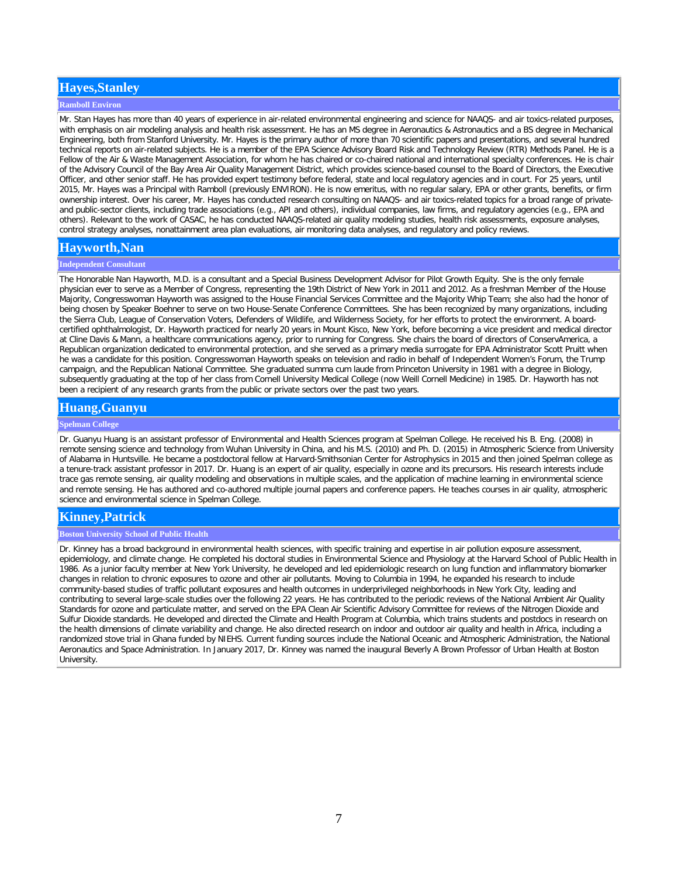# **Hayes,Stanley**

#### **Ramboll Environ**

Mr. Stan Hayes has more than 40 years of experience in air-related environmental engineering and science for NAAQS- and air toxics-related purposes, with emphasis on air modeling analysis and health risk assessment. He has an MS degree in Aeronautics & Astronautics and a BS degree in Mechanical Engineering, both from Stanford University. Mr. Hayes is the primary author of more than 70 scientific papers and presentations, and several hundred technical reports on air-related subjects. He is a member of the EPA Science Advisory Board Risk and Technology Review (RTR) Methods Panel. He is a Fellow of the Air & Waste Management Association, for whom he has chaired or co-chaired national and international specialty conferences. He is chair of the Advisory Council of the Bay Area Air Quality Management District, which provides science-based counsel to the Board of Directors, the Executive Officer, and other senior staff. He has provided expert testimony before federal, state and local regulatory agencies and in court. For 25 years, until 2015, Mr. Hayes was a Principal with Ramboll (previously ENVIRON). He is now emeritus, with no regular salary, EPA or other grants, benefits, or firm ownership interest. Over his career, Mr. Hayes has conducted research consulting on NAAQS- and air toxics-related topics for a broad range of privateand public-sector clients, including trade associations (e.g., API and others), individual companies, law firms, and regulatory agencies (e.g., EPA and others). Relevant to the work of CASAC, he has conducted NAAQS-related air quality modeling studies, health risk assessments, exposure analyses, control strategy analyses, nonattainment area plan evaluations, air monitoring data analyses, and regulatory and policy reviews.

# **Hayworth,Nan**

#### **Independent Consultant**

The Honorable Nan Hayworth, M.D. is a consultant and a Special Business Development Advisor for Pilot Growth Equity. She is the only female physician ever to serve as a Member of Congress, representing the 19th District of New York in 2011 and 2012. As a freshman Member of the House Majority, Congresswoman Hayworth was assigned to the House Financial Services Committee and the Majority Whip Team; she also had the honor of being chosen by Speaker Boehner to serve on two House-Senate Conference Committees. She has been recognized by many organizations, including the Sierra Club, League of Conservation Voters, Defenders of Wildlife, and Wilderness Society, for her efforts to protect the environment. A boardcertified ophthalmologist, Dr. Hayworth practiced for nearly 20 years in Mount Kisco, New York, before becoming a vice president and medical director at Cline Davis & Mann, a healthcare communications agency, prior to running for Congress. She chairs the board of directors of ConservAmerica, a Republican organization dedicated to environmental protection, and she served as a primary media surrogate for EPA Administrator Scott Pruitt when he was a candidate for this position. Congresswoman Hayworth speaks on television and radio in behalf of Independent Women's Forum, the Trump campaign, and the Republican National Committee. She graduated summa cum laude from Princeton University in 1981 with a degree in Biology, subsequently graduating at the top of her class from Cornell University Medical College (now Weill Cornell Medicine) in 1985. Dr. Hayworth has not been a recipient of any research grants from the public or private sectors over the past two years.

## **Huang,Guanyu**

### **Spelman College**

Dr. Guanyu Huang is an assistant professor of Environmental and Health Sciences program at Spelman College. He received his B. Eng. (2008) in remote sensing science and technology from Wuhan University in China, and his M.S. (2010) and Ph. D. (2015) in Atmospheric Science from University of Alabama in Huntsville. He became a postdoctoral fellow at Harvard-Smithsonian Center for Astrophysics in 2015 and then joined Spelman college as a tenure-track assistant professor in 2017. Dr. Huang is an expert of air quality, especially in ozone and its precursors. His research interests include trace gas remote sensing, air quality modeling and observations in multiple scales, and the application of machine learning in environmental science and remote sensing. He has authored and co-authored multiple journal papers and conference papers. He teaches courses in air quality, atmospheric science and environmental science in Spelman College.

# **Kinney,Patrick**

### **Boston University School of Public Health**

Dr. Kinney has a broad background in environmental health sciences, with specific training and expertise in air pollution exposure assessment, epidemiology, and climate change. He completed his doctoral studies in Environmental Science and Physiology at the Harvard School of Public Health in 1986. As a junior faculty member at New York University, he developed and led epidemiologic research on lung function and inflammatory biomarker changes in relation to chronic exposures to ozone and other air pollutants. Moving to Columbia in 1994, he expanded his research to include community-based studies of traffic pollutant exposures and health outcomes in underprivileged neighborhoods in New York City, leading and contributing to several large-scale studies over the following 22 years. He has contributed to the periodic reviews of the National Ambient Air Quality Standards for ozone and particulate matter, and served on the EPA Clean Air Scientific Advisory Committee for reviews of the Nitrogen Dioxide and Sulfur Dioxide standards. He developed and directed the Climate and Health Program at Columbia, which trains students and postdocs in research on the health dimensions of climate variability and change. He also directed research on indoor and outdoor air quality and health in Africa, including a randomized stove trial in Ghana funded by NIEHS. Current funding sources include the National Oceanic and Atmospheric Administration, the National Aeronautics and Space Administration. In January 2017, Dr. Kinney was named the inaugural Beverly A Brown Professor of Urban Health at Boston University.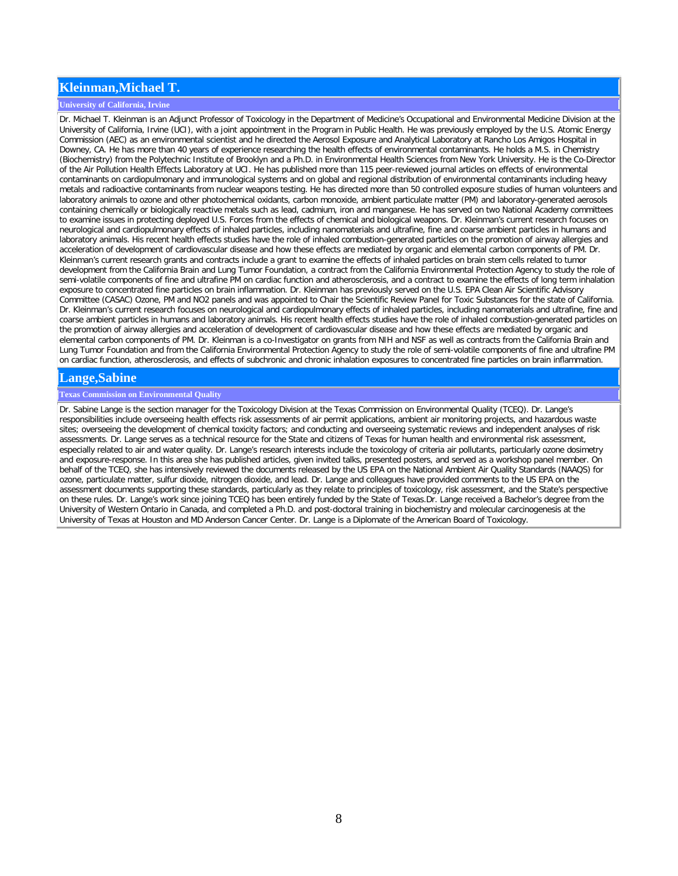## **Kleinman,Michael T.**

### **University of California, Irvine**

Dr. Michael T. Kleinman is an Adjunct Professor of Toxicology in the Department of Medicine's Occupational and Environmental Medicine Division at the University of California, Irvine (UCI), with a joint appointment in the Program in Public Health. He was previously employed by the U.S. Atomic Energy Commission (AEC) as an environmental scientist and he directed the Aerosol Exposure and Analytical Laboratory at Rancho Los Amigos Hospital in Downey, CA. He has more than 40 years of experience researching the health effects of environmental contaminants. He holds a M.S. in Chemistry (Biochemistry) from the Polytechnic Institute of Brooklyn and a Ph.D. in Environmental Health Sciences from New York University. He is the Co-Director of the Air Pollution Health Effects Laboratory at UCI. He has published more than 115 peer-reviewed journal articles on effects of environmental contaminants on cardiopulmonary and immunological systems and on global and regional distribution of environmental contaminants including heavy metals and radioactive contaminants from nuclear weapons testing. He has directed more than 50 controlled exposure studies of human volunteers and laboratory animals to ozone and other photochemical oxidants, carbon monoxide, ambient particulate matter (PM) and laboratory-generated aerosols containing chemically or biologically reactive metals such as lead, cadmium, iron and manganese. He has served on two National Academy committees to examine issues in protecting deployed U.S. Forces from the effects of chemical and biological weapons. Dr. Kleinman's current research focuses on neurological and cardiopulmonary effects of inhaled particles, including nanomaterials and ultrafine, fine and coarse ambient particles in humans and laboratory animals. His recent health effects studies have the role of inhaled combustion-generated particles on the promotion of airway allergies and acceleration of development of cardiovascular disease and how these effects are mediated by organic and elemental carbon components of PM. Dr. Kleinman's current research grants and contracts include a grant to examine the effects of inhaled particles on brain stem cells related to tumor development from the California Brain and Lung Tumor Foundation, a contract from the California Environmental Protection Agency to study the role of semi-volatile components of fine and ultrafine PM on cardiac function and atherosclerosis, and a contract to examine the effects of long term inhalation exposure to concentrated fine particles on brain inflammation. Dr. Kleinman has previously served on the U.S. EPA Clean Air Scientific Advisory Committee (CASAC) Ozone, PM and NO2 panels and was appointed to Chair the Scientific Review Panel for Toxic Substances for the state of California. Dr. Kleinman's current research focuses on neurological and cardiopulmonary effects of inhaled particles, including nanomaterials and ultrafine, fine and coarse ambient particles in humans and laboratory animals. His recent health effects studies have the role of inhaled combustion-generated particles on the promotion of airway allergies and acceleration of development of cardiovascular disease and how these effects are mediated by organic and elemental carbon components of PM. Dr. Kleinman is a co-Investigator on grants from NIH and NSF as well as contracts from the California Brain and Lung Tumor Foundation and from the California Environmental Protection Agency to study the role of semi-volatile components of fine and ultrafine PM on cardiac function, atherosclerosis, and effects of subchronic and chronic inhalation exposures to concentrated fine particles on brain inflammation.

### **Lange,Sabine**

### **Texas Commission on Environmental Quality**

Dr. Sabine Lange is the section manager for the Toxicology Division at the Texas Commission on Environmental Quality (TCEQ). Dr. Lange's responsibilities include overseeing health effects risk assessments of air permit applications, ambient air monitoring projects, and hazardous waste sites; overseeing the development of chemical toxicity factors; and conducting and overseeing systematic reviews and independent analyses of risk assessments. Dr. Lange serves as a technical resource for the State and citizens of Texas for human health and environmental risk assessment, especially related to air and water quality. Dr. Lange's research interests include the toxicology of criteria air pollutants, particularly ozone dosimetry and exposure-response. In this area she has published articles, given invited talks, presented posters, and served as a workshop panel member. On behalf of the TCEQ, she has intensively reviewed the documents released by the US EPA on the National Ambient Air Quality Standards (NAAQS) for ozone, particulate matter, sulfur dioxide, nitrogen dioxide, and lead. Dr. Lange and colleagues have provided comments to the US EPA on the assessment documents supporting these standards, particularly as they relate to principles of toxicology, risk assessment, and the State's perspective on these rules. Dr. Lange's work since joining TCEQ has been entirely funded by the State of Texas.Dr. Lange received a Bachelor's degree from the University of Western Ontario in Canada, and completed a Ph.D. and post-doctoral training in biochemistry and molecular carcinogenesis at the University of Texas at Houston and MD Anderson Cancer Center. Dr. Lange is a Diplomate of the American Board of Toxicology.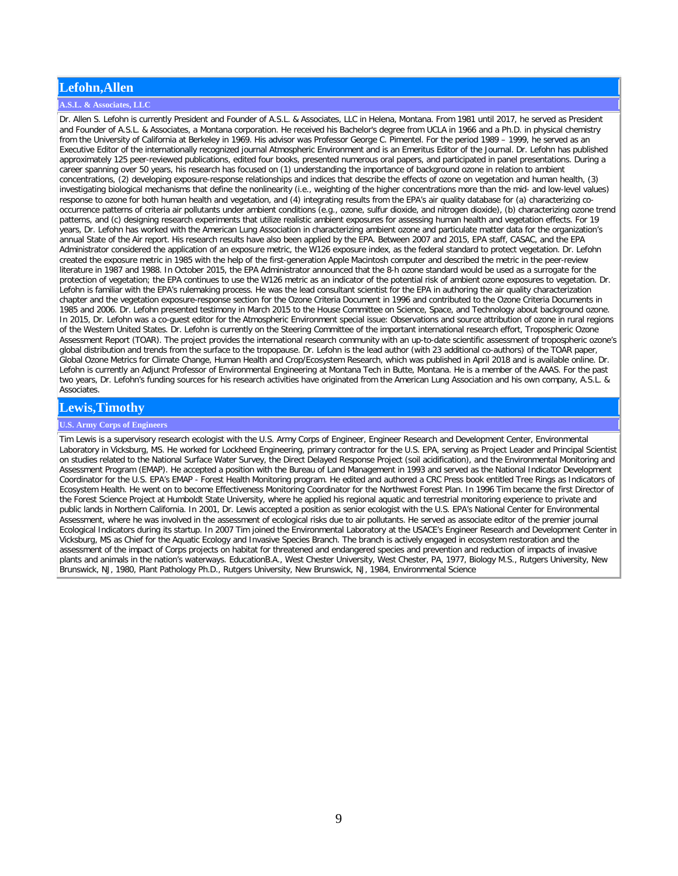# **Lefohn,Allen**

### **A.S.L. & Associates, LLC**

Dr. Allen S. Lefohn is currently President and Founder of A.S.L. & Associates, LLC in Helena, Montana. From 1981 until 2017, he served as President and Founder of A.S.L. & Associates, a Montana corporation. He received his Bachelor's degree from UCLA in 1966 and a Ph.D. in physical chemistry from the University of California at Berkeley in 1969. His advisor was Professor George C. Pimentel. For the period 1989 – 1999, he served as an Executive Editor of the internationally recognized journal Atmospheric Environment and is an Emeritus Editor of the Journal. Dr. Lefohn has published approximately 125 peer-reviewed publications, edited four books, presented numerous oral papers, and participated in panel presentations. During a career spanning over 50 years, his research has focused on (1) understanding the importance of background ozone in relation to ambient concentrations, (2) developing exposure-response relationships and indices that describe the effects of ozone on vegetation and human health, (3) investigating biological mechanisms that define the nonlinearity (i.e., weighting of the higher concentrations more than the mid- and low-level values) response to ozone for both human health and vegetation, and (4) integrating results from the EPA's air quality database for (a) characterizing cooccurrence patterns of criteria air pollutants under ambient conditions (e.g., ozone, sulfur dioxide, and nitrogen dioxide), (b) characterizing ozone trend patterns, and (c) designing research experiments that utilize realistic ambient exposures for assessing human health and vegetation effects. For 19 years, Dr. Lefohn has worked with the American Lung Association in characterizing ambient ozone and particulate matter data for the organization's annual State of the Air report. His research results have also been applied by the EPA. Between 2007 and 2015, EPA staff, CASAC, and the EPA Administrator considered the application of an exposure metric, the W126 exposure index, as the federal standard to protect vegetation. Dr. Lefohn created the exposure metric in 1985 with the help of the first-generation Apple Macintosh computer and described the metric in the peer-review literature in 1987 and 1988. In October 2015, the EPA Administrator announced that the 8-h ozone standard would be used as a surrogate for the protection of vegetation; the EPA continues to use the W126 metric as an indicator of the potential risk of ambient ozone exposures to vegetation. Dr. Lefohn is familiar with the EPA's rulemaking process. He was the lead consultant scientist for the EPA in authoring the air quality characterization chapter and the vegetation exposure-response section for the Ozone Criteria Document in 1996 and contributed to the Ozone Criteria Documents in 1985 and 2006. Dr. Lefohn presented testimony in March 2015 to the House Committee on Science, Space, and Technology about background ozone. In 2015, Dr. Lefohn was a co-guest editor for the Atmospheric Environment special issue: Observations and source attribution of ozone in rural regions of the Western United States. Dr. Lefohn is currently on the Steering Committee of the important international research effort, Tropospheric Ozone Assessment Report (TOAR). The project provides the international research community with an up-to-date scientific assessment of tropospheric ozone's global distribution and trends from the surface to the tropopause. Dr. Lefohn is the lead author (with 23 additional co-authors) of the TOAR paper, Global Ozone Metrics for Climate Change, Human Health and Crop/Ecosystem Research, which was published in April 2018 and is available online. Dr. Lefohn is currently an Adjunct Professor of Environmental Engineering at Montana Tech in Butte, Montana. He is a member of the AAAS. For the past two years, Dr. Lefohn's funding sources for his research activities have originated from the American Lung Association and his own company, A.S.L. & Associates.

## **Lewis,Timothy**

### **U.S. Army Corps of Engineers**

Tim Lewis is a supervisory research ecologist with the U.S. Army Corps of Engineer, Engineer Research and Development Center, Environmental Laboratory in Vicksburg, MS. He worked for Lockheed Engineering, primary contractor for the U.S. EPA, serving as Project Leader and Principal Scientist on studies related to the National Surface Water Survey, the Direct Delayed Response Project (soil acidification), and the Environmental Monitoring and Assessment Program (EMAP). He accepted a position with the Bureau of Land Management in 1993 and served as the National Indicator Development Coordinator for the U.S. EPA's EMAP - Forest Health Monitoring program. He edited and authored a CRC Press book entitled Tree Rings as Indicators of Ecosystem Health. He went on to become Effectiveness Monitoring Coordinator for the Northwest Forest Plan. In 1996 Tim became the first Director of the Forest Science Project at Humboldt State University, where he applied his regional aquatic and terrestrial monitoring experience to private and public lands in Northern California. In 2001, Dr. Lewis accepted a position as senior ecologist with the U.S. EPA's National Center for Environmental Assessment, where he was involved in the assessment of ecological risks due to air pollutants. He served as associate editor of the premier journal Ecological Indicators during its startup. In 2007 Tim joined the Environmental Laboratory at the USACE's Engineer Research and Development Center in Vicksburg, MS as Chief for the Aquatic Ecology and Invasive Species Branch. The branch is actively engaged in ecosystem restoration and the assessment of the impact of Corps projects on habitat for threatened and endangered species and prevention and reduction of impacts of invasive plants and animals in the nation's waterways. EducationB.A., West Chester University, West Chester, PA, 1977, Biology M.S., Rutgers University, New Brunswick, NJ, 1980, Plant Pathology Ph.D., Rutgers University, New Brunswick, NJ, 1984, Environmental Science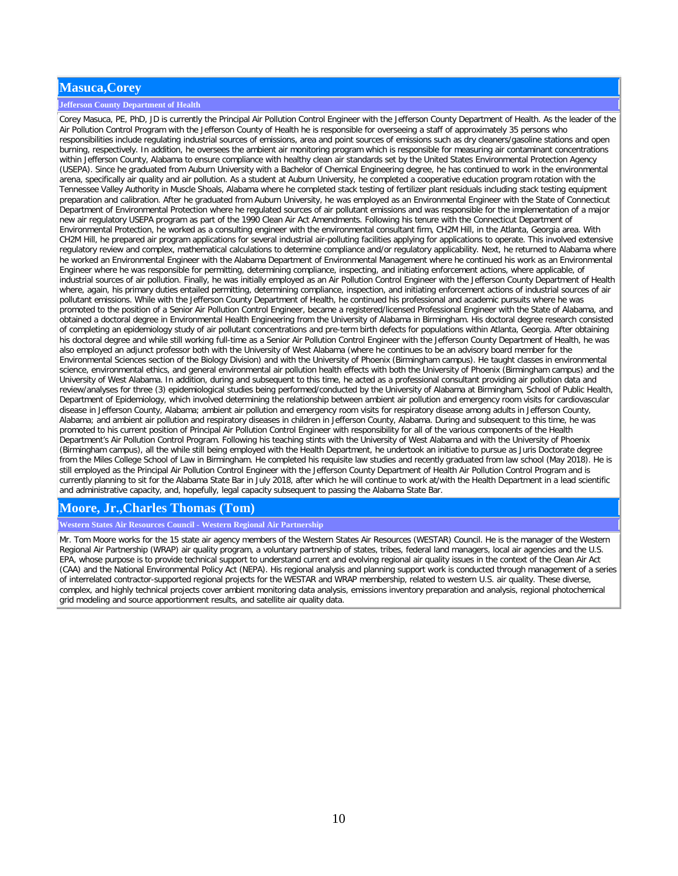## **Masuca,Corey**

### **Jefferson County Department of Health**

Corey Masuca, PE, PhD, JD is currently the Principal Air Pollution Control Engineer with the Jefferson County Department of Health. As the leader of the Air Pollution Control Program with the Jefferson County of Health he is responsible for overseeing a staff of approximately 35 persons who responsibilities include regulating industrial sources of emissions, area and point sources of emissions such as dry cleaners/gasoline stations and open burning, respectively. In addition, he oversees the ambient air monitoring program which is responsible for measuring air contaminant concentrations within Jefferson County, Alabama to ensure compliance with healthy clean air standards set by the United States Environmental Protection Agency (USEPA). Since he graduated from Auburn University with a Bachelor of Chemical Engineering degree, he has continued to work in the environmental arena, specifically air quality and air pollution. As a student at Auburn University, he completed a cooperative education program rotation with the Tennessee Valley Authority in Muscle Shoals, Alabama where he completed stack testing of fertilizer plant residuals including stack testing equipment preparation and calibration. After he graduated from Auburn University, he was employed as an Environmental Engineer with the State of Connecticut Department of Environmental Protection where he regulated sources of air pollutant emissions and was responsible for the implementation of a major new air regulatory USEPA program as part of the 1990 Clean Air Act Amendments. Following his tenure with the Connecticut Department of Environmental Protection, he worked as a consulting engineer with the environmental consultant firm, CH2M Hill, in the Atlanta, Georgia area. With CH2M Hill, he prepared air program applications for several industrial air-polluting facilities applying for applications to operate. This involved extensive regulatory review and complex, mathematical calculations to determine compliance and/or regulatory applicability. Next, he returned to Alabama where he worked an Environmental Engineer with the Alabama Department of Environmental Management where he continued his work as an Environmental Engineer where he was responsible for permitting, determining compliance, inspecting, and initiating enforcement actions, where applicable, of industrial sources of air pollution. Finally, he was initially employed as an Air Pollution Control Engineer with the Jefferson County Department of Health where, again, his primary duties entailed permitting, determining compliance, inspection, and initiating enforcement actions of industrial sources of air pollutant emissions. While with the Jefferson County Department of Health, he continued his professional and academic pursuits where he was promoted to the position of a Senior Air Pollution Control Engineer, became a registered/licensed Professional Engineer with the State of Alabama, and obtained a doctoral degree in Environmental Health Engineering from the University of Alabama in Birmingham. His doctoral degree research consisted of completing an epidemiology study of air pollutant concentrations and pre-term birth defects for populations within Atlanta, Georgia. After obtaining his doctoral degree and while still working full-time as a Senior Air Pollution Control Engineer with the Jefferson County Department of Health, he was also employed an adjunct professor both with the University of West Alabama (where he continues to be an advisory board member for the Environmental Sciences section of the Biology Division) and with the University of Phoenix (Birmingham campus). He taught classes in environmental science, environmental ethics, and general environmental air pollution health effects with both the University of Phoenix (Birmingham campus) and the University of West Alabama. In addition, during and subsequent to this time, he acted as a professional consultant providing air pollution data and review/analyses for three (3) epidemiological studies being performed/conducted by the University of Alabama at Birmingham, School of Public Health, Department of Epidemiology, which involved determining the relationship between ambient air pollution and emergency room visits for cardiovascular disease in Jefferson County, Alabama; ambient air pollution and emergency room visits for respiratory disease among adults in Jefferson County, Alabama; and ambient air pollution and respiratory diseases in children in Jefferson County, Alabama. During and subsequent to this time, he was promoted to his current position of Principal Air Pollution Control Engineer with responsibility for all of the various components of the Health Department's Air Pollution Control Program. Following his teaching stints with the University of West Alabama and with the University of Phoenix (Birmingham campus), all the while still being employed with the Health Department, he undertook an initiative to pursue as Juris Doctorate degree from the Miles College School of Law in Birmingham. He completed his requisite law studies and recently graduated from law school (May 2018). He is still employed as the Principal Air Pollution Control Engineer with the Jefferson County Department of Health Air Pollution Control Program and is currently planning to sit for the Alabama State Bar in July 2018, after which he will continue to work at/with the Health Department in a lead scientific and administrative capacity, and, hopefully, legal capacity subsequent to passing the Alabama State Bar.

## **Moore, Jr.,Charles Thomas (Tom)**

**Western States Air Resources Council - Western Regional Air Partnership**

Mr. Tom Moore works for the 15 state air agency members of the Western States Air Resources (WESTAR) Council. He is the manager of the Western Regional Air Partnership (WRAP) air quality program, a voluntary partnership of states, tribes, federal land managers, local air agencies and the U.S. EPA, whose purpose is to provide technical support to understand current and evolving regional air quality issues in the context of the Clean Air Act (CAA) and the National Environmental Policy Act (NEPA). His regional analysis and planning support work is conducted through management of a series of interrelated contractor-supported regional projects for the WESTAR and WRAP membership, related to western U.S. air quality. These diverse, complex, and highly technical projects cover ambient monitoring data analysis, emissions inventory preparation and analysis, regional photochemical grid modeling and source apportionment results, and satellite air quality data.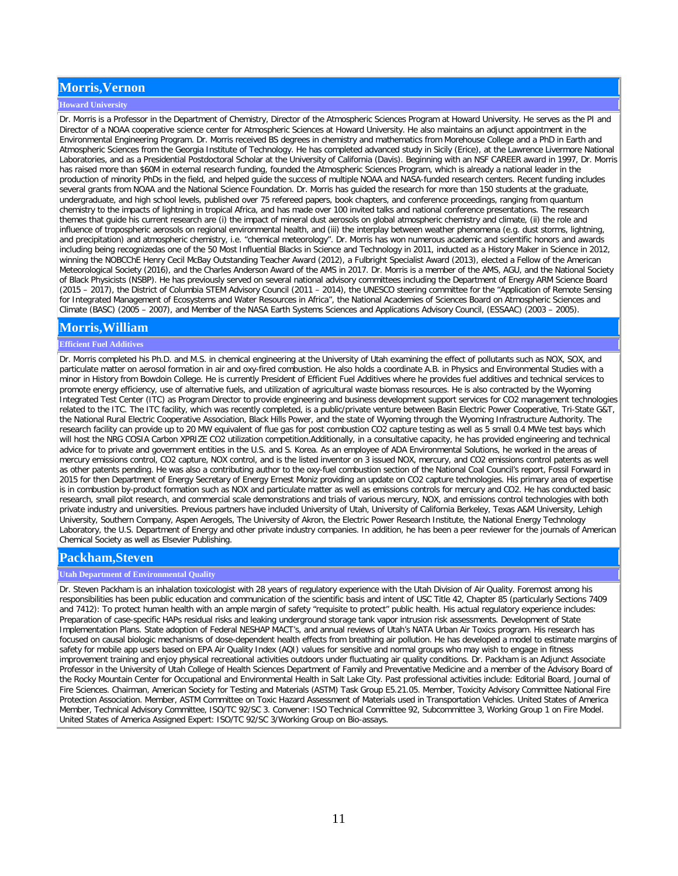# **Morris,Vernon**

### **Howard University**

Dr. Morris is a Professor in the Department of Chemistry, Director of the Atmospheric Sciences Program at Howard University. He serves as the PI and Director of a NOAA cooperative science center for Atmospheric Sciences at Howard University. He also maintains an adjunct appointment in the Environmental Engineering Program. Dr. Morris received BS degrees in chemistry and mathematics from Morehouse College and a PhD in Earth and Atmospheric Sciences from the Georgia Institute of Technology. He has completed advanced study in Sicily (Erice), at the Lawrence Livermore National Laboratories, and as a Presidential Postdoctoral Scholar at the University of California (Davis). Beginning with an NSF CAREER award in 1997, Dr. Morris has raised more than \$60M in external research funding, founded the Atmospheric Sciences Program, which is already a national leader in the production of minority PhDs in the field, and helped guide the success of multiple NOAA and NASA-funded research centers. Recent funding includes several grants from NOAA and the National Science Foundation. Dr. Morris has guided the research for more than 150 students at the graduate, undergraduate, and high school levels, published over 75 refereed papers, book chapters, and conference proceedings, ranging from quantum chemistry to the impacts of lightning in tropical Africa, and has made over 100 invited talks and national conference presentations. The research themes that guide his current research are (i) the impact of mineral dust aerosols on global atmospheric chemistry and climate, (ii) the role and influence of tropospheric aerosols on regional environmental health, and (iii) the interplay between weather phenomena (e.g. dust storms, lightning, and precipitation) and atmospheric chemistry, i.e. "chemical meteorology". Dr. Morris has won numerous academic and scientific honors and awards including being recognizedas one of the 50 Most Influential Blacks in Science and Technology in 2011, inducted as a History Maker in Science in 2012, winning the NOBCChE Henry Cecil McBay Outstanding Teacher Award (2012), a Fulbright Specialist Award (2013), elected a Fellow of the American Meteorological Society (2016), and the Charles Anderson Award of the AMS in 2017. Dr. Morris is a member of the AMS, AGU, and the National Society of Black Physicists (NSBP). He has previously served on several national advisory committees including the Department of Energy ARM Science Board (2015 – 2017), the District of Columbia STEM Advisory Council (2011 – 2014), the UNESCO steering committee for the "Application of Remote Sensing for Integrated Management of Ecosystems and Water Resources in Africa", the National Academies of Sciences Board on Atmospheric Sciences and Climate (BASC) (2005 – 2007), and Member of the NASA Earth Systems Sciences and Applications Advisory Council, (ESSAAC) (2003 – 2005).

## **Morris,William**

### **Efficient Fuel Additives**

Dr. Morris completed his Ph.D. and M.S. in chemical engineering at the University of Utah examining the effect of pollutants such as NOX, SOX, and particulate matter on aerosol formation in air and oxy-fired combustion. He also holds a coordinate A.B. in Physics and Environmental Studies with a minor in History from Bowdoin College. He is currently President of Efficient Fuel Additives where he provides fuel additives and technical services to promote energy efficiency, use of alternative fuels, and utilization of agricultural waste biomass resources. He is also contracted by the Wyoming Integrated Test Center (ITC) as Program Director to provide engineering and business development support services for CO2 management technologies related to the ITC. The ITC facility, which was recently completed, is a public/private venture between Basin Electric Power Cooperative, Tri-State G&T, the National Rural Electric Cooperative Association, Black Hills Power, and the state of Wyoming through the Wyoming Infrastructure Authority. The research facility can provide up to 20 MW equivalent of flue gas for post combustion CO2 capture testing as well as 5 small 0.4 MWe test bays which will host the NRG COSIA Carbon XPRIZE CO2 utilization competition.Additionally, in a consultative capacity, he has provided engineering and technical advice for to private and government entities in the U.S. and S. Korea. As an employee of ADA Environmental Solutions, he worked in the areas of mercury emissions control, CO2 capture, NOX control, and is the listed inventor on 3 issued NOX, mercury, and CO2 emissions control patents as well as other patents pending. He was also a contributing author to the oxy-fuel combustion section of the National Coal Council's report, Fossil Forward in 2015 for then Department of Energy Secretary of Energy Ernest Moniz providing an update on CO2 capture technologies. His primary area of expertise is in combustion by-product formation such as NOX and particulate matter as well as emissions controls for mercury and CO2. He has conducted basic research, small pilot research, and commercial scale demonstrations and trials of various mercury, NOX, and emissions control technologies with both private industry and universities. Previous partners have included University of Utah, University of California Berkeley, Texas A&M University, Lehigh University, Southern Company, Aspen Aerogels, The University of Akron, the Electric Power Research Institute, the National Energy Technology Laboratory, the U.S. Department of Energy and other private industry companies. In addition, he has been a peer reviewer for the journals of American Chemical Society as well as Elsevier Publishing.

## **Packham,Steven**

#### **Utah Department of Environmental Quality**

Dr. Steven Packham is an inhalation toxicologist with 28 years of regulatory experience with the Utah Division of Air Quality. Foremost among his responsibilities has been public education and communication of the scientific basis and intent of USC Title 42, Chapter 85 (particularly Sections 7409 and 7412): To protect human health with an ample margin of safety "requisite to protect" public health. His actual regulatory experience includes: Preparation of case-specific HAPs residual risks and leaking underground storage tank vapor intrusion risk assessments. Development of State Implementation Plans. State adoption of Federal NESHAP MACT's, and annual reviews of Utah's NATA Urban Air Toxics program. His research has focused on causal biologic mechanisms of dose-dependent health effects from breathing air pollution. He has developed a model to estimate margins of safety for mobile app users based on EPA Air Quality Index (AQI) values for sensitive and normal groups who may wish to engage in fitness improvement training and enjoy physical recreational activities outdoors under fluctuating air quality conditions. Dr. Packham is an Adjunct Associate Professor in the University of Utah College of Health Sciences Department of Family and Preventative Medicine and a member of the Advisory Board of the Rocky Mountain Center for Occupational and Environmental Health in Salt Lake City. Past professional activities include: Editorial Board, Journal of Fire Sciences. Chairman, American Society for Testing and Materials (ASTM) Task Group E5.21.05. Member, Toxicity Advisory Committee National Fire Protection Association. Member, ASTM Committee on Toxic Hazard Assessment of Materials used in Transportation Vehicles. United States of America Member, Technical Advisory Committee, ISO/TC 92/SC 3. Convener: ISO Technical Committee 92, Subcommittee 3, Working Group 1 on Fire Model. United States of America Assigned Expert: ISO/TC 92/SC 3/Working Group on Bio-assays.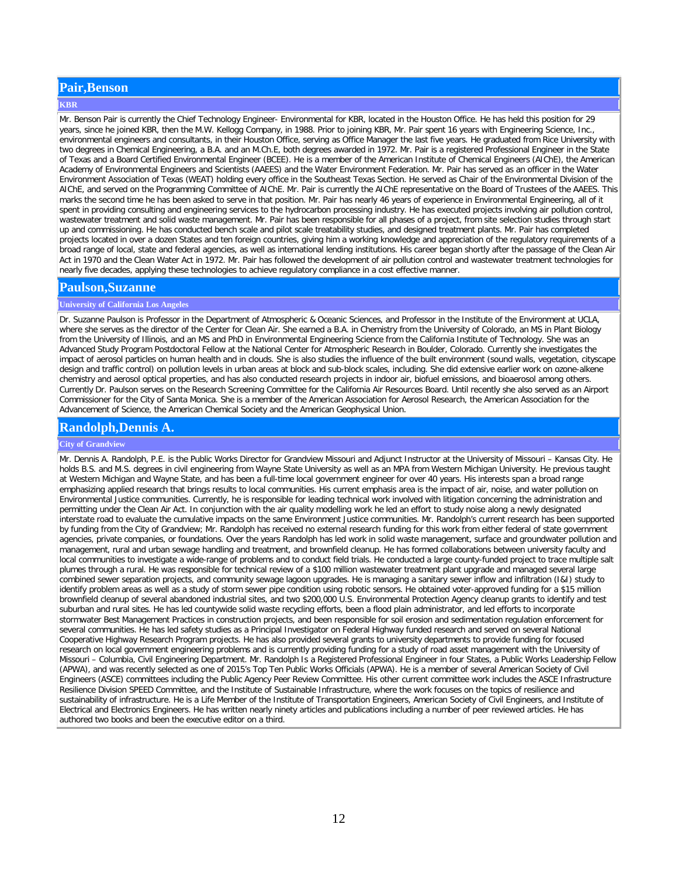## **Pair,Benson**

#### **KBR**

Mr. Benson Pair is currently the Chief Technology Engineer- Environmental for KBR, located in the Houston Office. He has held this position for 29 years, since he joined KBR, then the M.W. Kellogg Company, in 1988. Prior to joining KBR, Mr. Pair spent 16 years with Engineering Science, Inc., environmental engineers and consultants, in their Houston Office, serving as Office Manager the last five years. He graduated from Rice University with two degrees in Chemical Engineering, a B.A. and an M.Ch.E, both degrees awarded in 1972. Mr. Pair is a registered Professional Engineer in the State of Texas and a Board Certified Environmental Engineer (BCEE). He is a member of the American Institute of Chemical Engineers (AIChE), the American Academy of Environmental Engineers and Scientists (AAEES) and the Water Environment Federation. Mr. Pair has served as an officer in the Water Environment Association of Texas (WEAT) holding every office in the Southeast Texas Section. He served as Chair of the Environmental Division of the AIChE, and served on the Programming Committee of AIChE. Mr. Pair is currently the AIChE representative on the Board of Trustees of the AAEES. This marks the second time he has been asked to serve in that position. Mr. Pair has nearly 46 years of experience in Environmental Engineering, all of it spent in providing consulting and engineering services to the hydrocarbon processing industry. He has executed projects involving air pollution control, wastewater treatment and solid waste management. Mr. Pair has been responsible for all phases of a project, from site selection studies through start up and commissioning. He has conducted bench scale and pilot scale treatability studies, and designed treatment plants. Mr. Pair has completed projects located in over a dozen States and ten foreign countries, giving him a working knowledge and appreciation of the regulatory requirements of a broad range of local, state and federal agencies, as well as international lending institutions. His career began shortly after the passage of the Clean Air Act in 1970 and the Clean Water Act in 1972. Mr. Pair has followed the development of air pollution control and wastewater treatment technologies for nearly five decades, applying these technologies to achieve regulatory compliance in a cost effective manner.

## **Paulson,Suzanne**

### **University of California Los Angeles**

Dr. Suzanne Paulson is Professor in the Department of Atmospheric & Oceanic Sciences, and Professor in the Institute of the Environment at UCLA, where she serves as the director of the Center for Clean Air. She earned a B.A. in Chemistry from the University of Colorado, an MS in Plant Biology from the University of Illinois, and an MS and PhD in Environmental Engineering Science from the California Institute of Technology. She was an Advanced Study Program Postdoctoral Fellow at the National Center for Atmospheric Research in Boulder, Colorado. Currently she investigates the impact of aerosol particles on human health and in clouds. She is also studies the influence of the built environment (sound walls, vegetation, cityscape design and traffic control) on pollution levels in urban areas at block and sub-block scales, including. She did extensive earlier work on ozone-alkene chemistry and aerosol optical properties, and has also conducted research projects in indoor air, biofuel emissions, and bioaerosol among others. Currently Dr. Paulson serves on the Research Screening Committee for the California Air Resources Board. Until recently she also served as an Airport Commissioner for the City of Santa Monica. She is a member of the American Association for Aerosol Research, the American Association for the Advancement of Science, the American Chemical Society and the American Geophysical Union.

## **Randolph,Dennis A.**

### **City of Grandview**

Mr. Dennis A. Randolph, P.E. is the Public Works Director for Grandview Missouri and Adjunct Instructor at the University of Missouri – Kansas City. He holds B.S. and M.S. degrees in civil engineering from Wayne State University as well as an MPA from Western Michigan University. He previous taught at Western Michigan and Wayne State, and has been a full-time local government engineer for over 40 years. His interests span a broad range emphasizing applied research that brings results to local communities. His current emphasis area is the impact of air, noise, and water pollution on Environmental Justice communities. Currently, he is responsible for leading technical work involved with litigation concerning the administration and permitting under the Clean Air Act. In conjunction with the air quality modelling work he led an effort to study noise along a newly designated interstate road to evaluate the cumulative impacts on the same Environment Justice communities. Mr. Randolph's current research has been supported by funding from the City of Grandview; Mr. Randolph has received no external research funding for this work from either federal of state government agencies, private companies, or foundations. Over the years Randolph has led work in solid waste management, surface and groundwater pollution and management, rural and urban sewage handling and treatment, and brownfield cleanup. He has formed collaborations between university faculty and local communities to investigate a wide-range of problems and to conduct field trials. He conducted a large county-funded project to trace multiple salt plumes through a rural. He was responsible for technical review of a \$100 million wastewater treatment plant upgrade and managed several large combined sewer separation projects, and community sewage lagoon upgrades. He is managing a sanitary sewer inflow and infiltration (I&I) study to identify problem areas as well as a study of storm sewer pipe condition using robotic sensors. He obtained voter-approved funding for a \$15 million brownfield cleanup of several abandoned industrial sites, and two \$200,000 U.S. Environmental Protection Agency cleanup grants to identify and test suburban and rural sites. He has led countywide solid waste recycling efforts, been a flood plain administrator, and led efforts to incorporate stormwater Best Management Practices in construction projects, and been responsible for soil erosion and sedimentation regulation enforcement for several communities. He has led safety studies as a Principal Investigator on Federal Highway funded research and served on several National Cooperative Highway Research Program projects. He has also provided several grants to university departments to provide funding for focused research on local government engineering problems and is currently providing funding for a study of road asset management with the University of Missouri – Columbia, Civil Engineering Department. Mr. Randolph Is a Registered Professional Engineer in four States, a Public Works Leadership Fellow (APWA), and was recently selected as one of 2015's Top Ten Public Works Officials (APWA). He is a member of several American Society of Civil Engineers (ASCE) committees including the Public Agency Peer Review Committee. His other current committee work includes the ASCE Infrastructure Resilience Division SPEED Committee, and the Institute of Sustainable Infrastructure, where the work focuses on the topics of resilience and sustainability of infrastructure. He is a Life Member of the Institute of Transportation Engineers, American Society of Civil Engineers, and Institute of Electrical and Electronics Engineers. He has written nearly ninety articles and publications including a number of peer reviewed articles. He has authored two books and been the executive editor on a third.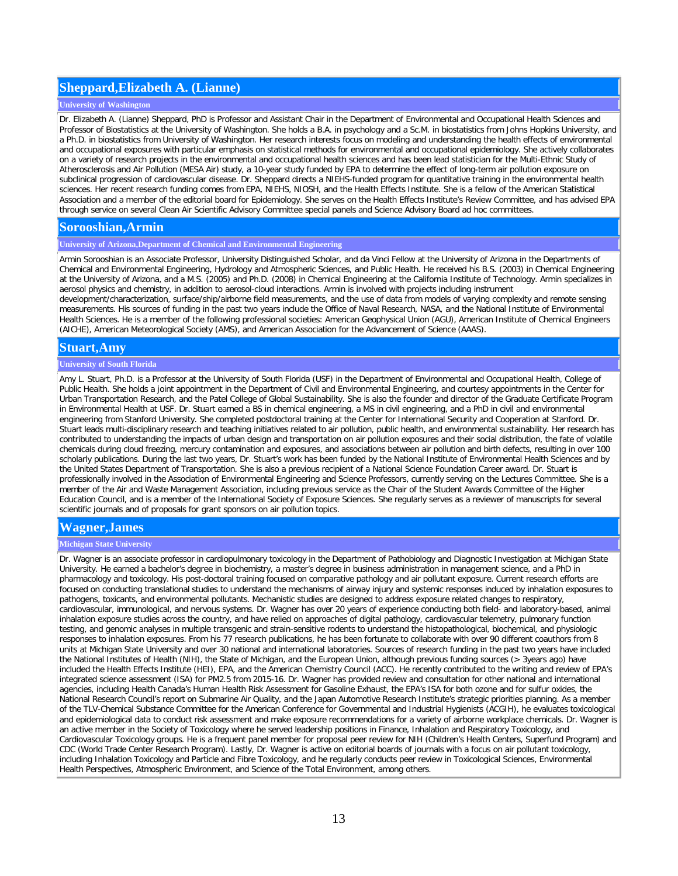# **Sheppard,Elizabeth A. (Lianne)**

### **University of Washington**

Dr. Elizabeth A. (Lianne) Sheppard, PhD is Professor and Assistant Chair in the Department of Environmental and Occupational Health Sciences and Professor of Biostatistics at the University of Washington. She holds a B.A. in psychology and a Sc.M. in biostatistics from Johns Hopkins University, and a Ph.D. in biostatistics from University of Washington. Her research interests focus on modeling and understanding the health effects of environmental and occupational exposures with particular emphasis on statistical methods for environmental and occupational epidemiology. She actively collaborates on a variety of research projects in the environmental and occupational health sciences and has been lead statistician for the Multi-Ethnic Study of Atherosclerosis and Air Pollution (MESA Air) study, a 10-year study funded by EPA to determine the effect of long-term air pollution exposure on subclinical progression of cardiovascular disease. Dr. Sheppard directs a NIEHS-funded program for quantitative training in the environmental health sciences. Her recent research funding comes from EPA, NIEHS, NIOSH, and the Health Effects Institute. She is a fellow of the American Statistical Association and a member of the editorial board for Epidemiology. She serves on the Health Effects Institute's Review Committee, and has advised EPA through service on several Clean Air Scientific Advisory Committee special panels and Science Advisory Board ad hoc committees.

### **Sorooshian,Armin**

### **University of Arizona,Department of Chemical and Environmental Engineering**

Armin Sorooshian is an Associate Professor, University Distinguished Scholar, and da Vinci Fellow at the University of Arizona in the Departments of Chemical and Environmental Engineering, Hydrology and Atmospheric Sciences, and Public Health. He received his B.S. (2003) in Chemical Engineering at the University of Arizona, and a M.S. (2005) and Ph.D. (2008) in Chemical Engineering at the California Institute of Technology. Armin specializes in aerosol physics and chemistry, in addition to aerosol-cloud interactions. Armin is involved with projects including instrument

development/characterization, surface/ship/airborne field measurements, and the use of data from models of varying complexity and remote sensing measurements. His sources of funding in the past two years include the Office of Naval Research, NASA, and the National Institute of Environmental Health Sciences. He is a member of the following professional societies: American Geophysical Union (AGU), American Institute of Chemical Engineers (AICHE), American Meteorological Society (AMS), and American Association for the Advancement of Science (AAAS).

### **Stuart,Amy**

#### **University of South Florida**

Amy L. Stuart, Ph.D. is a Professor at the University of South Florida (USF) in the Department of Environmental and Occupational Health, College of Public Health. She holds a joint appointment in the Department of Civil and Environmental Engineering, and courtesy appointments in the Center for Urban Transportation Research, and the Patel College of Global Sustainability. She is also the founder and director of the Graduate Certificate Program in Environmental Health at USF. Dr. Stuart earned a BS in chemical engineering, a MS in civil engineering, and a PhD in civil and environmental engineering from Stanford University. She completed postdoctoral training at the Center for International Security and Cooperation at Stanford. Dr. Stuart leads multi-disciplinary research and teaching initiatives related to air pollution, public health, and environmental sustainability. Her research has contributed to understanding the impacts of urban design and transportation on air pollution exposures and their social distribution, the fate of volatile chemicals during cloud freezing, mercury contamination and exposures, and associations between air pollution and birth defects, resulting in over 100 scholarly publications. During the last two years, Dr. Stuart's work has been funded by the National Institute of Environmental Health Sciences and by the United States Department of Transportation. She is also a previous recipient of a National Science Foundation Career award. Dr. Stuart is professionally involved in the Association of Environmental Engineering and Science Professors, currently serving on the Lectures Committee. She is a member of the Air and Waste Management Association, including previous service as the Chair of the Student Awards Committee of the Higher Education Council, and is a member of the International Society of Exposure Sciences. She regularly serves as a reviewer of manuscripts for several scientific journals and of proposals for grant sponsors on air pollution topics.

## **Wagner,James**

### **Michigan State University**

Dr. Wagner is an associate professor in cardiopulmonary toxicology in the Department of Pathobiology and Diagnostic Investigation at Michigan State University. He earned a bachelor's degree in biochemistry, a master's degree in business administration in management science, and a PhD in pharmacology and toxicology. His post-doctoral training focused on comparative pathology and air pollutant exposure. Current research efforts are focused on conducting translational studies to understand the mechanisms of airway injury and systemic responses induced by inhalation exposures to pathogens, toxicants, and environmental pollutants. Mechanistic studies are designed to address exposure related changes to respiratory, cardiovascular, immunological, and nervous systems. Dr. Wagner has over 20 years of experience conducting both field- and laboratory-based, animal inhalation exposure studies across the country, and have relied on approaches of digital pathology, cardiovascular telemetry, pulmonary function testing, and genomic analyses in multiple transgenic and strain-sensitive rodents to understand the histopathological, biochemical, and physiologic responses to inhalation exposures. From his 77 research publications, he has been fortunate to collaborate with over 90 different coauthors from 8 units at Michigan State University and over 30 national and international laboratories. Sources of research funding in the past two years have included the National Institutes of Health (NIH), the State of Michigan, and the European Union, although previous funding sources (> 3years ago) have included the Health Effects Institute (HEI), EPA, and the American Chemistry Council (ACC). He recently contributed to the writing and review of EPA's integrated science assessment (ISA) for PM2.5 from 2015-16. Dr. Wagner has provided review and consultation for other national and international agencies, including Health Canada's Human Health Risk Assessment for Gasoline Exhaust, the EPA's ISA for both ozone and for sulfur oxides, the National Research Council's report on Submarine Air Quality, and the Japan Automotive Research Institute's strategic priorities planning. As a member of the TLV-Chemical Substance Committee for the American Conference for Governmental and Industrial Hygienists (ACGIH), he evaluates toxicological and epidemiological data to conduct risk assessment and make exposure recommendations for a variety of airborne workplace chemicals. Dr. Wagner is an active member in the Society of Toxicology where he served leadership positions in Finance, Inhalation and Respiratory Toxicology, and Cardiovascular Toxicology groups. He is a frequent panel member for proposal peer review for NIH (Children's Health Centers, Superfund Program) and CDC (World Trade Center Research Program). Lastly, Dr. Wagner is active on editorial boards of journals with a focus on air pollutant toxicology, including Inhalation Toxicology and Particle and Fibre Toxicology, and he regularly conducts peer review in Toxicological Sciences, Environmental Health Perspectives, Atmospheric Environment, and Science of the Total Environment, among others.